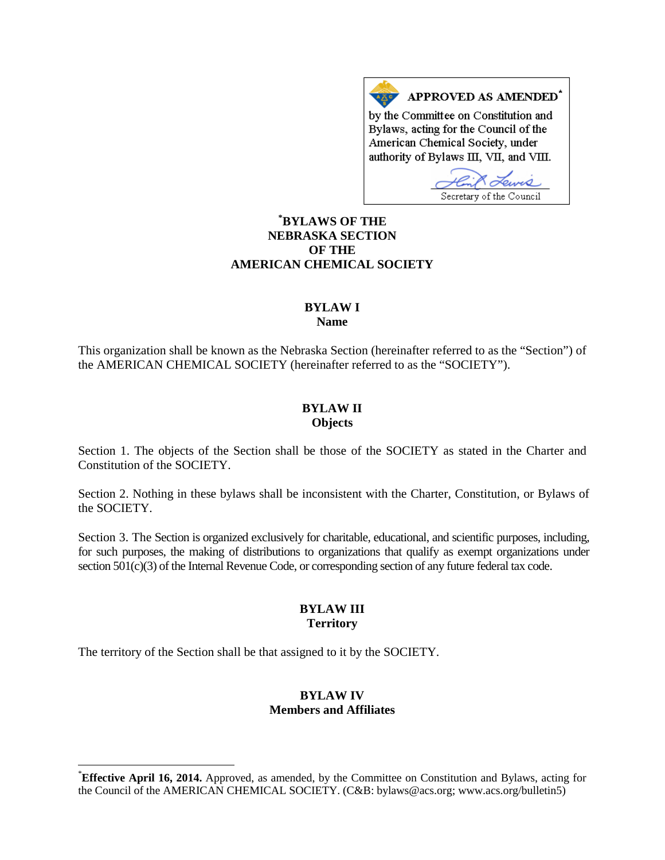APPROVED AS AMENDED<sup>\*</sup> by the Committee on Constitution and Bylaws, acting for the Council of the American Chemical Society, under authority of Bylaws III, VII, and VIII.

Secretary of the Council

# **[\\*](#page-0-0) BYLAWS OF THE NEBRASKA SECTION OF THE AMERICAN CHEMICAL SOCIETY**

### **BYLAW I Name**

This organization shall be known as the Nebraska Section (hereinafter referred to as the "Section") of the AMERICAN CHEMICAL SOCIETY (hereinafter referred to as the "SOCIETY").

## **BYLAW II Objects**

Section 1. The objects of the Section shall be those of the SOCIETY as stated in the Charter and Constitution of the SOCIETY.

Section 2. Nothing in these bylaws shall be inconsistent with the Charter, Constitution, or Bylaws of the SOCIETY.

Section 3. The Section is organized exclusively for charitable, educational, and scientific purposes, including, for such purposes, the making of distributions to organizations that qualify as exempt organizations under section 501(c)(3) of the Internal Revenue Code, or corresponding section of any future federal tax code.

## **BYLAW III Territory**

The territory of the Section shall be that assigned to it by the SOCIETY.

## **BYLAW IV Members and Affiliates**

<span id="page-0-0"></span> <sup>\*</sup> **Effective April 16, 2014.** Approved, as amended, by the Committee on Constitution and Bylaws, acting for the Council of the AMERICAN CHEMICAL SOCIETY. (C&B: bylaws@acs.org; www.acs.org/bulletin5)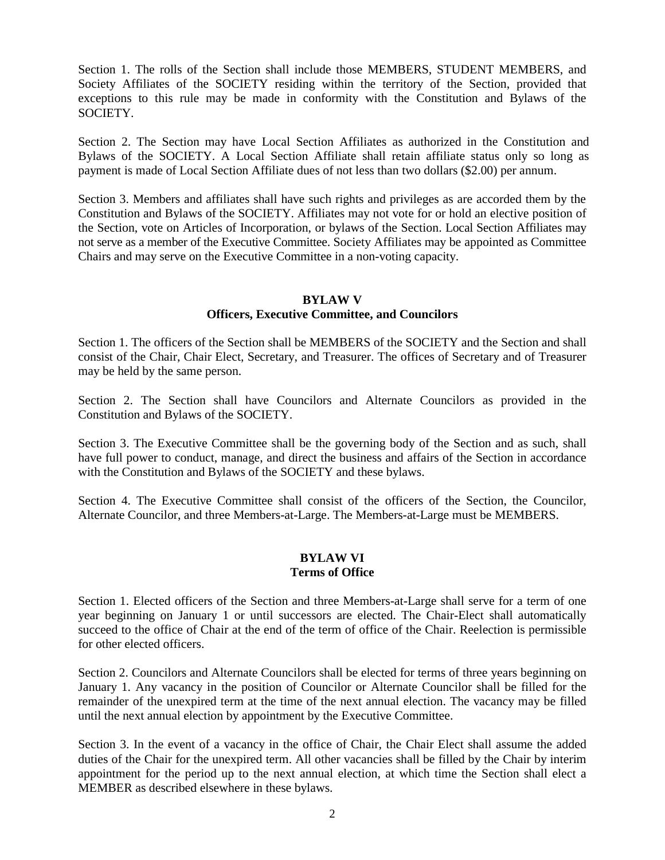Section 1. The rolls of the Section shall include those MEMBERS, STUDENT MEMBERS, and Society Affiliates of the SOCIETY residing within the territory of the Section, provided that exceptions to this rule may be made in conformity with the Constitution and Bylaws of the SOCIETY.

Section 2. The Section may have Local Section Affiliates as authorized in the Constitution and Bylaws of the SOCIETY. A Local Section Affiliate shall retain affiliate status only so long as payment is made of Local Section Affiliate dues of not less than two dollars (\$2.00) per annum.

Section 3. Members and affiliates shall have such rights and privileges as are accorded them by the Constitution and Bylaws of the SOCIETY. Affiliates may not vote for or hold an elective position of the Section, vote on Articles of Incorporation, or bylaws of the Section. Local Section Affiliates may not serve as a member of the Executive Committee. Society Affiliates may be appointed as Committee Chairs and may serve on the Executive Committee in a non-voting capacity.

## **BYLAW V Officers, Executive Committee, and Councilors**

Section 1. The officers of the Section shall be MEMBERS of the SOCIETY and the Section and shall consist of the Chair, Chair Elect, Secretary, and Treasurer. The offices of Secretary and of Treasurer may be held by the same person.

Section 2. The Section shall have Councilors and Alternate Councilors as provided in the Constitution and Bylaws of the SOCIETY.

Section 3. The Executive Committee shall be the governing body of the Section and as such, shall have full power to conduct, manage, and direct the business and affairs of the Section in accordance with the Constitution and Bylaws of the SOCIETY and these bylaws.

Section 4. The Executive Committee shall consist of the officers of the Section, the Councilor, Alternate Councilor, and three Members-at-Large. The Members-at-Large must be MEMBERS.

### **BYLAW VI Terms of Office**

Section 1. Elected officers of the Section and three Members-at-Large shall serve for a term of one year beginning on January 1 or until successors are elected. The Chair-Elect shall automatically succeed to the office of Chair at the end of the term of office of the Chair. Reelection is permissible for other elected officers.

Section 2. Councilors and Alternate Councilors shall be elected for terms of three years beginning on January 1. Any vacancy in the position of Councilor or Alternate Councilor shall be filled for the remainder of the unexpired term at the time of the next annual election. The vacancy may be filled until the next annual election by appointment by the Executive Committee.

Section 3. In the event of a vacancy in the office of Chair, the Chair Elect shall assume the added duties of the Chair for the unexpired term. All other vacancies shall be filled by the Chair by interim appointment for the period up to the next annual election, at which time the Section shall elect a MEMBER as described elsewhere in these bylaws.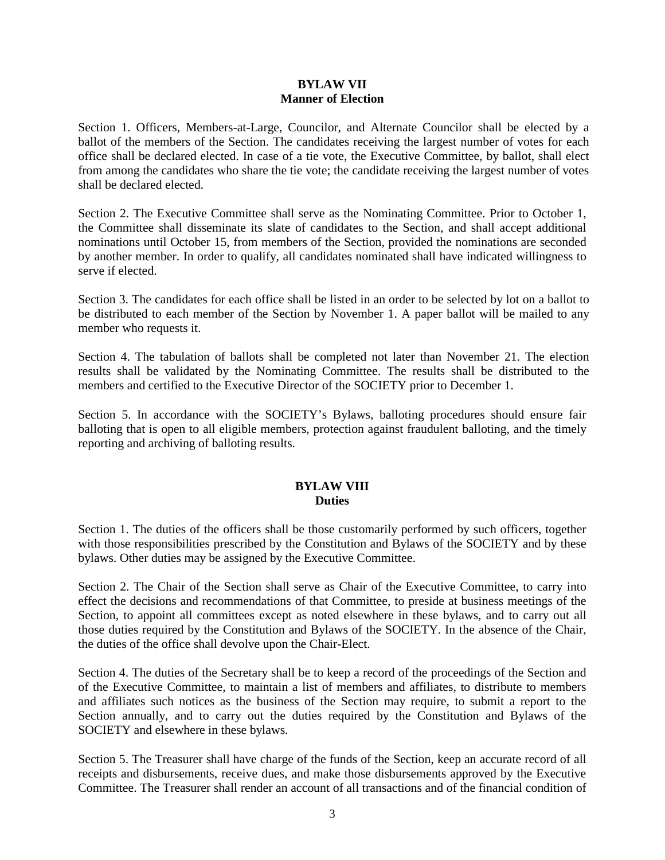## **BYLAW VII Manner of Election**

Section 1. Officers, Members-at-Large, Councilor, and Alternate Councilor shall be elected by a ballot of the members of the Section. The candidates receiving the largest number of votes for each office shall be declared elected. In case of a tie vote, the Executive Committee, by ballot, shall elect from among the candidates who share the tie vote; the candidate receiving the largest number of votes shall be declared elected.

Section 2. The Executive Committee shall serve as the Nominating Committee. Prior to October 1, the Committee shall disseminate its slate of candidates to the Section, and shall accept additional nominations until October 15, from members of the Section, provided the nominations are seconded by another member. In order to qualify, all candidates nominated shall have indicated willingness to serve if elected.

Section 3. The candidates for each office shall be listed in an order to be selected by lot on a ballot to be distributed to each member of the Section by November 1. A paper ballot will be mailed to any member who requests it.

Section 4. The tabulation of ballots shall be completed not later than November 21. The election results shall be validated by the Nominating Committee. The results shall be distributed to the members and certified to the Executive Director of the SOCIETY prior to December 1.

Section 5. In accordance with the SOCIETY's Bylaws, balloting procedures should ensure fair balloting that is open to all eligible members, protection against fraudulent balloting, and the timely reporting and archiving of balloting results.

## **BYLAW VIII Duties**

Section 1. The duties of the officers shall be those customarily performed by such officers, together with those responsibilities prescribed by the Constitution and Bylaws of the SOCIETY and by these bylaws. Other duties may be assigned by the Executive Committee.

Section 2. The Chair of the Section shall serve as Chair of the Executive Committee, to carry into effect the decisions and recommendations of that Committee, to preside at business meetings of the Section, to appoint all committees except as noted elsewhere in these bylaws, and to carry out all those duties required by the Constitution and Bylaws of the SOCIETY. In the absence of the Chair, the duties of the office shall devolve upon the Chair-Elect.

Section 4. The duties of the Secretary shall be to keep a record of the proceedings of the Section and of the Executive Committee, to maintain a list of members and affiliates, to distribute to members and affiliates such notices as the business of the Section may require, to submit a report to the Section annually, and to carry out the duties required by the Constitution and Bylaws of the SOCIETY and elsewhere in these bylaws.

Section 5. The Treasurer shall have charge of the funds of the Section, keep an accurate record of all receipts and disbursements, receive dues, and make those disbursements approved by the Executive Committee. The Treasurer shall render an account of all transactions and of the financial condition of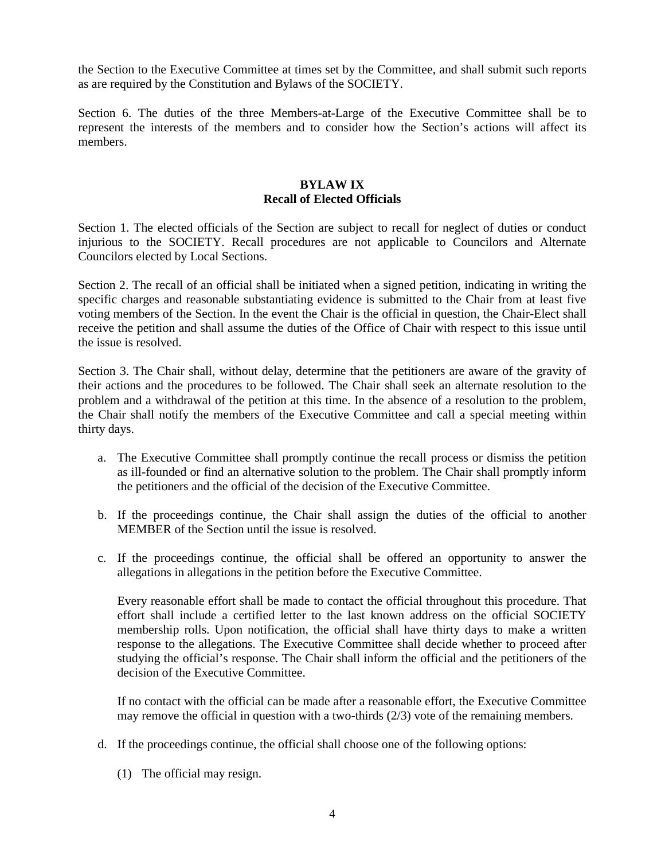the Section to the Executive Committee at times set by the Committee, and shall submit such reports as are required by the Constitution and Bylaws of the SOCIETY.

Section 6. The duties of the three Members-at-Large of the Executive Committee shall be to represent the interests of the members and to consider how the Section's actions will affect its members.

## **BYLAW IX Recall of Elected Officials**

Section 1. The elected officials of the Section are subject to recall for neglect of duties or conduct injurious to the SOCIETY. Recall procedures are not applicable to Councilors and Alternate Councilors elected by Local Sections.

Section 2. The recall of an official shall be initiated when a signed petition, indicating in writing the specific charges and reasonable substantiating evidence is submitted to the Chair from at least five voting members of the Section. In the event the Chair is the official in question, the Chair-Elect shall receive the petition and shall assume the duties of the Office of Chair with respect to this issue until the issue is resolved.

Section 3. The Chair shall, without delay, determine that the petitioners are aware of the gravity of their actions and the procedures to be followed. The Chair shall seek an alternate resolution to the problem and a withdrawal of the petition at this time. In the absence of a resolution to the problem, the Chair shall notify the members of the Executive Committee and call a special meeting within thirty days.

- a. The Executive Committee shall promptly continue the recall process or dismiss the petition as ill-founded or find an alternative solution to the problem. The Chair shall promptly inform the petitioners and the official of the decision of the Executive Committee.
- b. If the proceedings continue, the Chair shall assign the duties of the official to another MEMBER of the Section until the issue is resolved.
- c. If the proceedings continue, the official shall be offered an opportunity to answer the allegations in allegations in the petition before the Executive Committee.

Every reasonable effort shall be made to contact the official throughout this procedure. That effort shall include a certified letter to the last known address on the official SOCIETY membership rolls. Upon notification, the official shall have thirty days to make a written response to the allegations. The Executive Committee shall decide whether to proceed after studying the official's response. The Chair shall inform the official and the petitioners of the decision of the Executive Committee.

If no contact with the official can be made after a reasonable effort, the Executive Committee may remove the official in question with a two-thirds (2/3) vote of the remaining members.

- d. If the proceedings continue, the official shall choose one of the following options:
	- (1) The official may resign.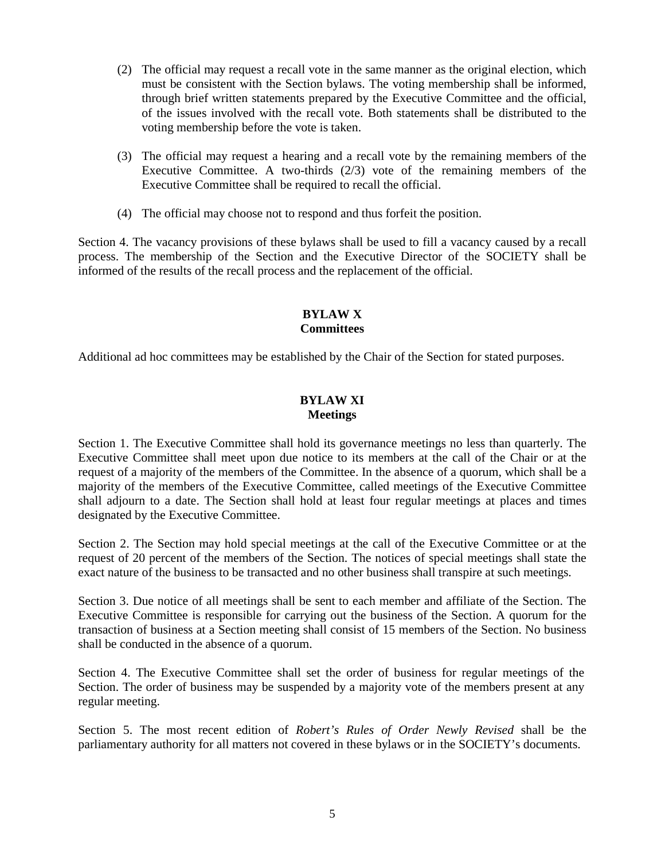- (2) The official may request a recall vote in the same manner as the original election, which must be consistent with the Section bylaws. The voting membership shall be informed, through brief written statements prepared by the Executive Committee and the official, of the issues involved with the recall vote. Both statements shall be distributed to the voting membership before the vote is taken.
- (3) The official may request a hearing and a recall vote by the remaining members of the Executive Committee. A two-thirds (2/3) vote of the remaining members of the Executive Committee shall be required to recall the official.
- (4) The official may choose not to respond and thus forfeit the position.

Section 4. The vacancy provisions of these bylaws shall be used to fill a vacancy caused by a recall process. The membership of the Section and the Executive Director of the SOCIETY shall be informed of the results of the recall process and the replacement of the official.

# **BYLAW X Committees**

Additional ad hoc committees may be established by the Chair of the Section for stated purposes.

## **BYLAW XI Meetings**

Section 1. The Executive Committee shall hold its governance meetings no less than quarterly. The Executive Committee shall meet upon due notice to its members at the call of the Chair or at the request of a majority of the members of the Committee. In the absence of a quorum, which shall be a majority of the members of the Executive Committee, called meetings of the Executive Committee shall adjourn to a date. The Section shall hold at least four regular meetings at places and times designated by the Executive Committee.

Section 2. The Section may hold special meetings at the call of the Executive Committee or at the request of 20 percent of the members of the Section. The notices of special meetings shall state the exact nature of the business to be transacted and no other business shall transpire at such meetings.

Section 3. Due notice of all meetings shall be sent to each member and affiliate of the Section. The Executive Committee is responsible for carrying out the business of the Section. A quorum for the transaction of business at a Section meeting shall consist of 15 members of the Section. No business shall be conducted in the absence of a quorum.

Section 4. The Executive Committee shall set the order of business for regular meetings of the Section. The order of business may be suspended by a majority vote of the members present at any regular meeting.

Section 5. The most recent edition of *Robert's Rules of Order Newly Revised* shall be the parliamentary authority for all matters not covered in these bylaws or in the SOCIETY's documents.